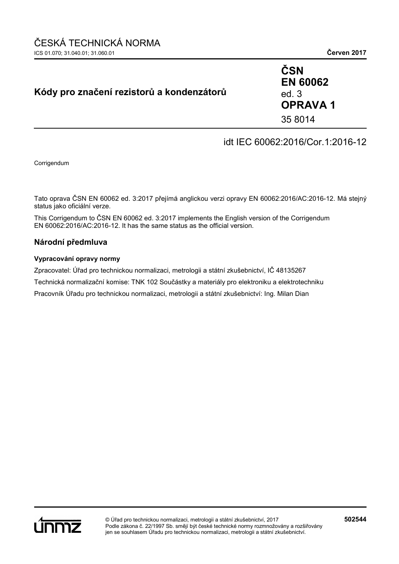# **Kódy pro značení rezistorů a kondenzátorů**

**ČSN EN 60062** ed. 3 **OPRAVA 1** 35 8014

# idt IEC 60062:2016/Cor.1:2016-12

Corrigendum

Tato oprava ČSN EN 60062 ed. 3:2017 přejímá anglickou verzi opravy EN 60062:2016/AC:2016-12. Má stejný status jako oficiální verze.

This Corrigendum to ČSN EN 60062 ed. 3:2017 implements the English version of the Corrigendum EN 60062:2016/AC:2016-12. It has the same status as the official version.

## **Národní předmluva**

#### **Vypracování opravy normy**

Zpracovatel: Úřad pro technickou normalizaci, metrologii a státní zkušebnictví, IČ 48135267

Technická normalizační komise: TNK 102 Součástky a materiály pro elektroniku a elektrotechniku

Pracovník Úřadu pro technickou normalizaci, metrologii a státní zkušebnictví: Ing. Milan Dian

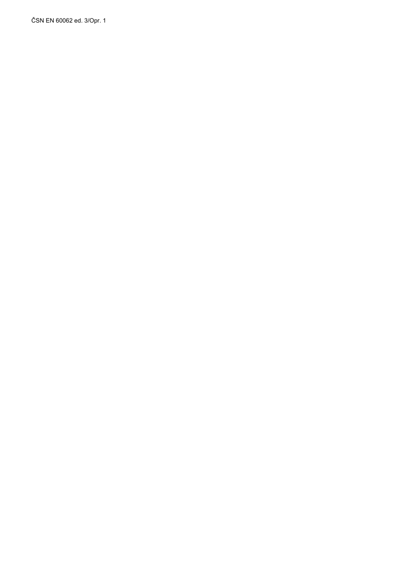ČSN EN 60062 ed. 3/Opr. 1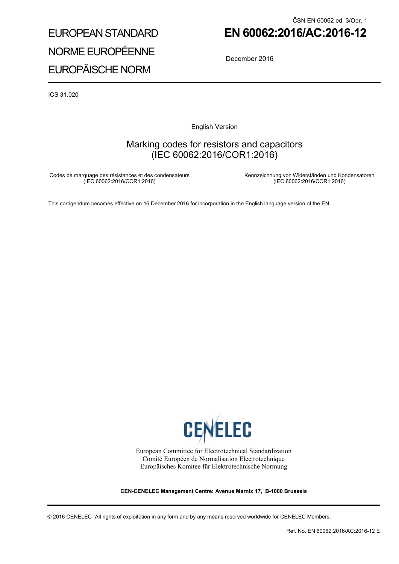# EUROPEAN STANDARD NORME EUROPÉENNE EUROPÄISCHE NORM

ICS 31.020

**EN 60062:2016/AC:2016-12** 

December 2016

English Version

# Marking codes for resistors and capacitors (IEC 60062:2016/COR1:2016)

Codes de marquage des résistances et des condensateurs (IEC 60062:2016/COR1:2016)

 Kennzeichnung von Widerständen und Kondensatoren (IEC 60062:2016/COR1:2016)

This corrigendum becomes effective on 16 December 2016 for incorporation in the English language version of the EN.



European Committee for Electrotechnical Standardization Comité Européen de Normalisation Electrotechnique Europäisches Komitee für Elektrotechnische Normung

**CEN-CENELEC Management Centre: Avenue Marnix 17, B-1000 Brussels** 

© 2016 CENELEC All rights of exploitation in any form and by any means reserved worldwide for CENELEC Members.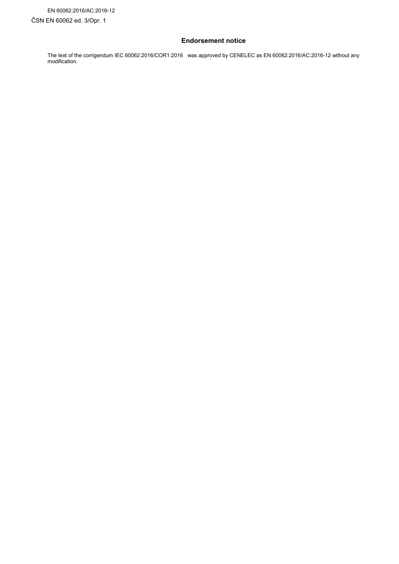EN 60062:2016/AC:2016-12

ČSN EN 60062 ed. 3/Opr. 1

#### **Endorsement notice**

The text of the corrigendum IEC 60062:2016/COR1:2016 was approved by CENELEC as EN 60062:2016/AC:2016-12 without any modification.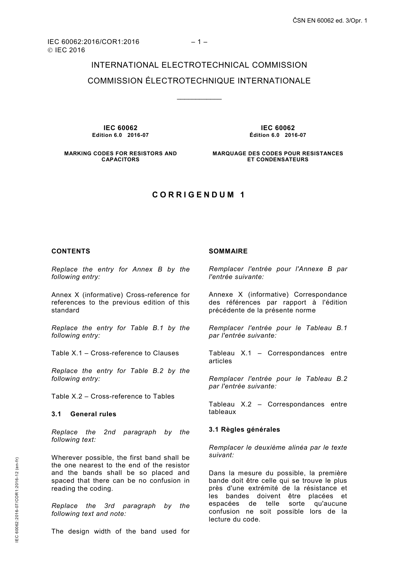## INTERNATIONAL ELECTROTECHNICAL COMMISSION

## COMMISSION ÉLECTROTECHNIQUE INTERNATIONALE

\_\_\_\_\_\_\_\_\_\_\_\_

**IEC 60062 Edition 6.0 2016-07**

**IEC 60062 Édition 6.0 2016-07**

**MARKING CODES FOR RESISTORS AND CAPACITORS**

**MARQUAGE DES CODES POUR RESISTANCES ET CONDENSATEURS**

## **CORRIGENDUM 1**

#### **CONTENTS**

*Replace the entry for Annex B by the following entry:*

Annex X (informative) Cross-reference for references to the previous edition of this standard

*Replace the entry for Table B.1 by the following entry:*

Table X.1 – Cross-reference to Clauses

*Replace the entry for Table B.2 by the following entry:*

Table X.2 – Cross-reference to Tables

#### **3.1 General rules**

*Replace the 2nd paragraph by the following text:*

Wherever possible, the first band shall be the one nearest to the end of the resistor and the bands shall be so placed and spaced that there can be no confusion in reading the coding.

*Replace the 3rd paragraph by the following text and note:*

The design width of the band used for

#### **SOMMAIRE**

*Remplacer l'entrée pour l'Annexe B par l'entrée suivante:*

Annexe X (informative) Correspondance des références par rapport à l'édition précédente de la présente norme

*Remplacer l'entrée pour le Tableau B.1 par l'entrée suivante:*

Tableau X.1 – Correspondances entre articles

*Remplacer l'entrée pour le Tableau B.2 par l'entrée suivante:*

Tableau X.2 – Correspondances entre tableaux

#### **3.1 Règles générales**

*Remplacer le deuxième alinéa par le texte suivant:*

Dans la mesure du possible, la première bande doit être celle qui se trouve le plus près d'une extrémité de la résistance et les bandes doivent être placées et espacées de telle sorte qu'aucune confusion ne soit possible lors de la lecture du code.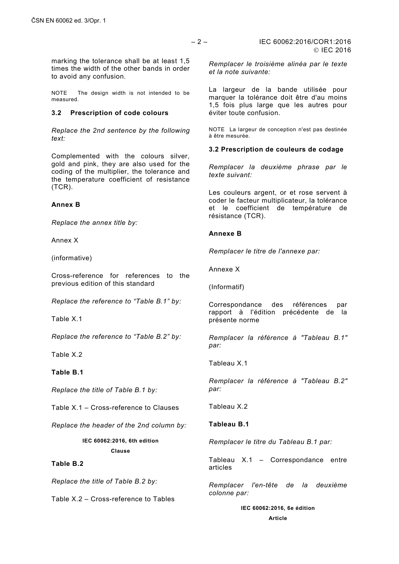marking the tolerance shall be at least 1,5 times the width of the other bands in order to avoid any confusion.

NOTE The design width is not intended to be measured.

#### **3.2 Prescription of code colours**

*Replace the 2nd sentence by the following text:*

Complemented with the colours silver, gold and pink, they are also used for the coding of the multiplier, the tolerance and the temperature coefficient of resistance (TCR).

#### **Annex B**

*Replace the annex title by:* 

Annex X

(informative)

Cross-reference for references to the previous edition of this standard

*Replace the reference to "Table B.1" by:* 

Table X.1

*Replace the reference to "Table B.2" by:* 

Table X.2

**Table B.1**

*Replace the title of Table B.1 by:* 

Table X.1 – Cross-reference to Clauses

*Replace the header of the 2nd column by:* 

**IEC 60062:2016, 6th edition Clause**

#### **Table B.2**

*Replace the title of Table B.2 by:* 

Table X.2 – Cross-reference to Tables

*Remplacer le troisième alinéa par le texte et la note suivante:*

La largeur de la bande utilisée pour marquer la tolérance doit être d'au moins 1,5 fois plus large que les autres pour éviter toute confusion.

NOTE La largeur de conception n'est pas destinée à être mesurée.

#### **3.2 Prescription de couleurs de codage**

*Remplacer la deuxième phrase par le texte suivant:*

Les couleurs argent, or et rose servent à coder le facteur multiplicateur, la tolérance et le coefficient de température de résistance (TCR).

#### **Annexe B**

*Remplacer le titre de l'annexe par:* 

Annexe X

(Informatif)

Correspondance des références par rapport à l'édition précédente de la présente norme

*Remplacer la référence à "Tableau B.1" par:* 

Tableau X.1

*Remplacer la référence à "Tableau B.2" par:* 

Tableau X.2

#### **Tableau B.1**

*Remplacer le titre du Tableau B.1 par:* 

Tableau X.1 – Correspondance entre articles

*Remplacer l'en-tête de la deuxième colonne par:* 

> **IEC 60062:2016, 6e édition Article**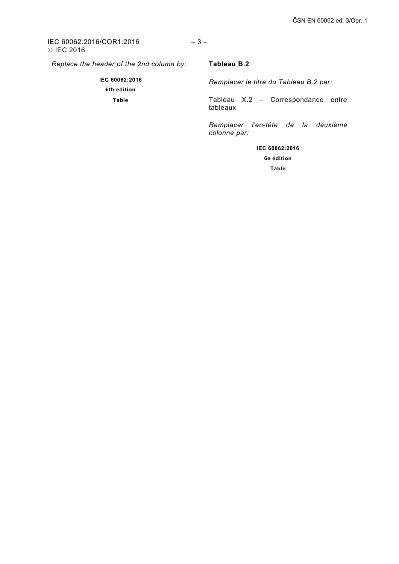IEC 60062:2016/COR1:2016 – 3 – © IEC 2016

*Replace the header of the 2nd column by:* 

## **IEC 60062:2016**

**6th edition Table** 

#### **Tableau B.2**

*Remplacer le titre du Tableau B.2 par:* 

Tableau X.2 – Correspondance entre tableaux

*Remplacer l'en-tête de la deuxième colonne par:* 

> **IEC 60062:2016 6e édition Table**